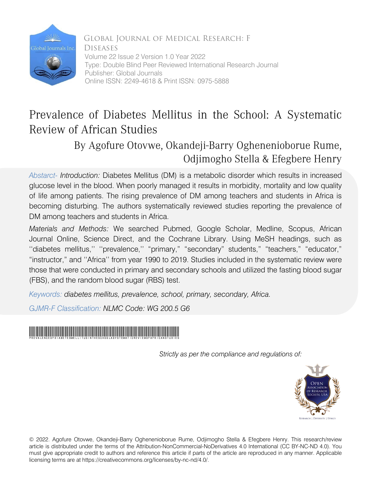

Global Journal of Medical Research: F **DISEASES** Volume 22 Issue 2 Version 1.0 Year 2022 Type: Double Blind Peer Reviewed International Research Journal Publisher: Global Journals Online ISSN: 2249-4618 & Print ISSN: 0975-5888

# Prevalence of Diabetes Mellitus in the School: A Systematic Review of African Studies

# By Agofure Otovwe, Okandeji-Barry Oghenenioborue Rume, Odjimogho Stella & Efegbere Henry

*Abstarct- Introduction:* Diabetes Mellitus (DM) is a metabolic disorder which results in increased glucose level in the blood. When poorly managed it results in morbidity, mortality and low quality of life among patients. The rising prevalence of DM among teachers and students in Africa is becoming disturbing. The authors systematically reviewed studies reporting the prevalence of DM among teachers and students in Africa.

*Materials and Methods:* We searched Pubmed, Google Scholar, Medline, Scopus, African Journal Online, Science Direct, and the Cochrane Library. Using MeSH headings, such as ''diabetes mellitus,'' ''prevalence,'' "primary," "secondary" students," "teachers," "educator," "instructor," and ''Africa'' from year 1990 to 2019. Studies included in the systematic review were those that were conducted in primary and secondary schools and utilized the fasting blood sugar

(FBS), and the random blood sugar (RBS) test. *Keywords: diabetes mellitus, prevalence, school, primary, secondary, Africa.*

*GJMR-F Classification: NLMC Code: WG 200.5 G6*



*Strictly as per the compliance and regulations of:*



© 2022. Agofure Otovwe, Okandeji-Barry Oghenenioborue Rume, Odjimogho Stella & Efegbere Henry. This research/review article is distributed under the terms of the Attribution-NonCommercial-NoDerivatives 4.0 International (CC BY-NC-ND 4.0). You must give appropriate credit to authors and reference this article if parts of the article are reproduced in any manner. Applicable licensing terms are at https://creativecommons.org/licenses/by-nc-nd/4.0/.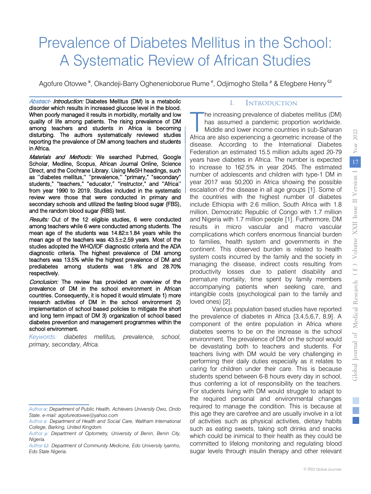# Prevalence of Diabetes Mellitus in the School: A Systematic Review of African Studies

Agofure Otovwe <sup>α</sup>, Okandeji-Barry Oghenenioborue Rume <sup>σ</sup>, Odjimogho Stella <sup>ρ</sup> & Efegbere Henry <sup>ω</sup>

Abstract- Introduction: Diabetes Mellitus (DM) is a metabolic disorder which results in increased glucose level in the blood. When poorly managed it results in morbidity, mortality and low quality of life among patients. The rising prevalence of DM among teachers and students in Africa is becoming disturbing. The authors systematically reviewed studies reporting the prevalence of DM among teachers and students in Africa.

Materials and Methods: We searched Pubmed, Google Scholar, Medline, Scopus, African Journal Online, Science Direct, and the Cochrane Library. Using MeSH headings, such as ''diabetes mellitus,'' ''prevalence,'' "primary," "secondary" students," "teachers," "educator," "instructor," and ''Africa'' from year 1990 to 2019. Studies included in the systematic review were those that were conducted in primary and secondary schools and utilized the fasting blood sugar (FBS), and the random blood sugar (RBS) test.

Results: Out of the 12 eligible studies, 6 were conducted among teachers while 6 were conducted among students. The mean age of the students was  $14.82 \pm 1.84$  years while the mean age of the teachers was 43.5±2.59 years. Most of the studies adopted the WHO/IDF diagnostic criteria and the ADA diagnostic criteria. The highest prevalence of DM among teachers was 13.5% while the highest prevalence of DM and prediabetes among students was 1.8% and 28.70% respectively.

Conclusion: The review has provided an overview of the prevalence of DM in the school environment in African countries. Consequently, it is hoped it would stimulate 1) more research activities of DM in the school environment 2) implementation of school based policies to mitigate the short and long term impact of DM 3) organization of school based diabetes prevention and management programmes within the school environment.

*Keywords: diabetes mellitus, prevalence, school, primary, secondary, Africa.* 

#### I. Introduction

he increasing prevalence of diabetes mellitus (DM) has assumed a pandemic proportion worldwide. Middle and lower income countries in sub-Saharan The increasing prevalence of diabetes mellitus (DM) has assumed a pandemic proportion worldwide.<br>
Middle and lower income countries in sub-Saharan<br>
Africa are also experiencing a geometric increase of the disease. According to the International Diabetes Federation an estimated 15.5 million adults aged 20-79 years have diabetes in Africa. The number is expected to increase to 162.5% in year 2045. The estimated number of adolescents and children with type-1 DM in year 2017 was 50,200 in Africa showing the possible escalation of the disease in all age groups [1]. Some of the countries with the highest number of diabetes include Ethiopia with 2.6 million, South Africa with 1.8 million, Democratic Republic of Congo with 1.7 million and Nigeria with 1.7 million people [1]. Furthermore, DM results in micro vascular and macro vascular complications which confers enormous financial burden to families, health system and governments in the continent. This observed burden is related to health system costs incurred by the family and the society in managing the disease, indirect costs resulting from productivity losses due to patient disability and premature mortality, time spent by family members accompanying patients when seeking care, and intangible costs (psychological pain to the family and loved ones) [2].

Various population based studies have reported the prevalence of diabetes in Africa [3,4,5,6,7, 8,9]. A component of the entire population in Africa where diabetes seems to be on the increase is the school environment. The prevalence of DM on the school would be devastating both to teachers and students. For teachers living with DM would be very challenging in performing their daily duties especially as it relates to caring for children under their care. This is because students spend between 6-8 hours every day in school, thus conferring a lot of responsibility on the teachers. For students living with DM would struggle to adapt to the required personal and environmental changes required to manage the condition. This is because at this age they are carefree and are usually involve in a lot of activities such as physical activities, dietary habits such as eating sweets, taking soft drinks and snacks which could be inimical to their health as they could be committed to lifelong monitoring and regulating blood sugar levels through insulin therapy and other relevant

*Author α: Department of Public Health, Achievers University Owo, Ondo State. e-mail: agofureotovwe@yahoo.com*

*Author σ: Department of Health and Social Care, Waltham International College, Barking, United Kingdom.* 

*Author ρ: Department of Optometry, University of Benin, Benin City, Nigeria.* 

*Author Ѡ: Department of Community Medicine, Edo University Iyamho, Edo State Nigeria.*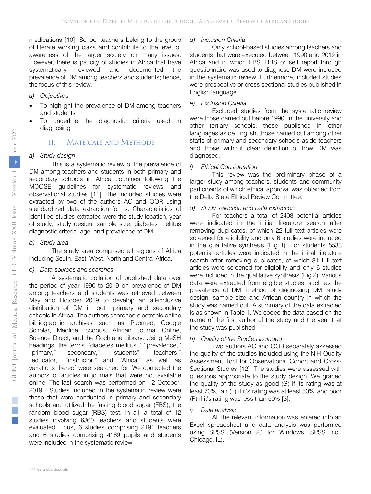medications [10]. School teachers belong to the group of literate working class and contribute to the level of awareness of the larger society on many issues. However, there is paucity of studies in Africa that have systematically reviewed and documented the prevalence of DM among teachers and students; hence, the focus of this review.

#### *a) Objectives*

- To highlight the prevalence of DM among teachers and students
- To underline the diagnostic criteria used in diagnosing

#### II. Materials and Methods

#### *a) Study design*

This is a systematic review of the prevalence of DM among teachers and students in both primary and secondary schools in Africa countries following the MOOSE guidelines for systematic reviews and observational studies [11]. The included studies were extracted by two of the authors AO and OOR using standardized data extraction forms. Characteristics of identified studies extracted were the study location, year of study, study design, sample size, diabetes mellitus diagnostic criteria, age, and prevalence of DM.

#### *b) Study area*

The study area comprised all regions of Africa including South, East, West, North and Central Africa.

#### *c) Data sources and searches*

A systematic collation of published data over the period of year 1990 to 2019 on prevalence of DM among teachers and students was retrieved between May and October 2019 to develop an all-inclusive distribution of DM in both primary and secondary schools in Africa. The authors searched electronic online bibliographic archives such as Pubmed, Google Scholar, Medline, Scopus, African Journal Online, Science Direct, and the Cochrane Library. Using MeSH headings, the terms ''diabetes mellitus,'' ''prevalence,'' "primary," secondary," "students" "teachers," "educator," "instructor," and ''Africa'' as well as variations thereof were searched for. We contacted the authors of articles in journals that were not available online. The last search was performed on 12 October, 2019. Studies included in the systematic review were those that were conducted in primary and secondary schools and utilized the fasting blood sugar (FBS), the random blood sugar (RBS) test. In all, a total of 12 studies involving 6360 teachers and students were evaluated. Thus, 6 studies comprising 2191 teachers and 6 studies comprising 4169 pupils and students were included in the systematic review.

#### *d) Inclusion Criteria*

Only school-based studies among teachers and students that were executed between 1990 and 2019 in Africa and in which FBS, RBS or self report through questionnaire was used to diagnose DM were included in the systematic review. Furthermore, included studies were prospective or cross sectional studies published in English language.

#### *e) Exclusion Criteria*

Excluded studies from the systematic review were those carried out before 1990, in the university and other tertiary schools, those published in other languages aside English, those carried out among other staffs of primary and secondary schools aside teachers and those without clear definition of how DM was diagnosed.

#### *f) Ethical Consideration*

This review was the preliminary phase of a larger study among teachers, students and community participants of which ethical approval was obtained from the Delta State Ethical Review Committee.

#### *g) Study selection and Data Extraction*

For teachers a total of 2408 potential articles were indicated in the initial literature search after removing duplicates, of which 22 full text articles were screened for eligibility and only 6 studies were included in the qualitative synthesis (Fig 1). For students 5538 potential articles were indicated in the initial literature search after removing duplicates, of which 31 full text articles were screened for eligibility and only 6 studies were included in the qualitative synthesis (Fig 2). Various data were extracted from eligible studies, such as the prevalence of DM, method of diagnosing DM, study design, sample size and African country in which the study was carried out. A summary of the data extracted is as shown in Table 1. We coded the data based on the name of the first author of the study and the year that the study was published.

#### *h) Quality of the Studies Included*

Two authors AO and OOR separately assessed the quality of the studies included using the NIH Quality Assessment Tool for Observational Cohort and Cross-Sectional Studies [12]. The studies were assessed with questions appropriate to the study design. We graded the quality of the study as good (G) if its rating was at least 70%, fair (F) if it's rating was at least 50%, and poor (P) if it's rating was less than 50% [3].

#### *i) Data analysis*

All the relevant information was entered into an Excel spreadsheet and data analysis was performed using SPSS (Version 20 for Windows, SPSS Inc., Chicago, IL).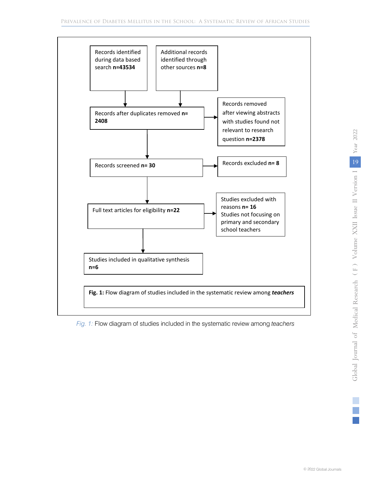

 $\mathbf{i}$ *Fig. 1:* Flow diagram of studies included in the systematic review among *teachers*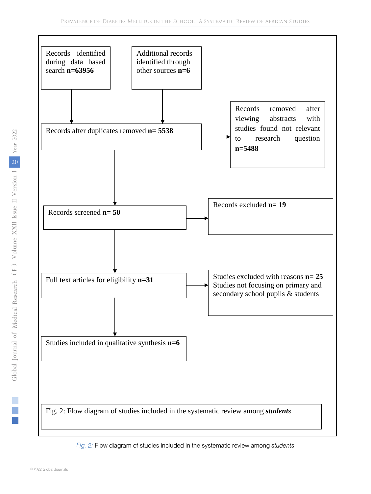

*Fig. 2:* Flow diagram of studies included in the systematic review among *students*

 $\mathcal{L}_{\mathcal{A}}$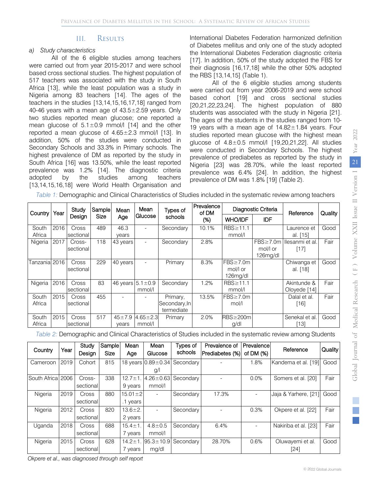## III. Results

#### *a) Study characteristics*

All of the 6 eligible studies among teachers were carried out from year 2015-2017 and were school based cross sectional studies. The highest population of 517 teachers was associated with the study in South Africa [13], while the least population was a study in Nigeria among 83 teachers [14]. The ages of the teachers in the studies [13,14,15,16,17,18] ranged from 40-46 years with a mean age of  $43.5 \pm 2.59$  years. Only two studies reported mean glucose; one reported a mean glucose of  $5.1 \pm 0.9$  mmol/l [14] and the other reported a mean glucose of  $4.65 \pm 2.3$  mmol/l [13]. In addition, 50% of the studies were conducted in Secondary Schools and 33.3% in Primary schools. The highest prevalence of DM as reported by the study in South Africa [16] was 13.50%, while the least reported prevalence was 1.2% [14]. The diagnostic criteria adopted by the studies among teachers [13,14,15,16,18] were World Health Organisation and

International Diabetes Federation harmonized definition of Diabetes mellitus and only one of the study adopted the International Diabetes Federation diagnostic criteria [17]. In addition, 50% of the study adopted the FBS for their diagnosis [16,17,18] while the other 50% adopted the RBS [13,14,15] (Table 1).

All of the 6 eligible studies among students were carried out from year 2006-2019 and were school based cohort [19] and cross sectional studies [20,21,22,23,24]. The highest population of 880 students was associated with the study in Nigeria [21]. The ages of the students in the studies ranged from 10- 19 years with a mean age of 14.82±1.84 years. Four studies reported mean glucose with the highest mean glucose of 4.8±0.5 mmol/l [19,20,21,22]. All studies were conducted in Secondary Schools. The highest prevalence of prediabetes as reported by the study in Nigeria [23] was 28.70%, while the least reported prevalence was 6.4% [24]. In addition, the highest prevalence of DM was 1.8% [19] (Table 2).

| Table 1: Demographic and Clinical Characteristics of Studies included in the systematic review among teachers |  |
|---------------------------------------------------------------------------------------------------------------|--|
|---------------------------------------------------------------------------------------------------------------|--|

| Country         | Year | Study<br>Design     | Sample<br>Size | Mean<br>Age            | Mean<br>Glucose          | Types of<br>schools                     | Prevalence<br>of DM<br>(%) | Diagnostic Criteria                 |                            | Reference                   | Quality |
|-----------------|------|---------------------|----------------|------------------------|--------------------------|-----------------------------------------|----------------------------|-------------------------------------|----------------------------|-----------------------------|---------|
|                 |      |                     |                |                        |                          |                                         |                            | <b>WHO/IDF</b>                      | <b>IDF</b>                 |                             |         |
| South           | 2016 | Cross               | 489            | 46.3                   | $\overline{\phantom{a}}$ | Secondary                               | 10.1%                      | RBS≥11.1                            |                            | Laurence et                 | Good    |
| Africa          |      | sectional           |                | vears                  |                          |                                         |                            | mmol/l                              |                            | al. [15]                    |         |
| Nigeria         | 2017 | Cross-<br>sectional | 118            | 43 years               | $\overline{\phantom{a}}$ | Secondary                               | 2.8%                       |                                     | $FBS \ge 7.0m$<br>mol/l or | Ilesanmi et al.<br>$[17]$   | Fair    |
|                 |      |                     |                |                        |                          |                                         |                            |                                     | 126mg/dl                   |                             |         |
| Fanzania 2016   |      | Cross<br>sectional  | 229            | 40 years               | $\overline{\phantom{a}}$ | Primary                                 | 8.3%                       | FBS≥7.0m<br>mol/l or<br>$126$ mg/dl |                            | Chiwanga et<br>al. [18]     | Good    |
| Nigeria         | 2016 | Cross<br>sectional  | 83             | 46 years $5.1 \pm 0.9$ | mmol/l                   | Secondary                               | 1.2%                       | RBS≥11.1<br>mmol/l                  |                            | Akintunde &<br>Oloyede [14] | Fair    |
| South<br>Africa | 2015 | Cross<br>sectional  | 455            |                        |                          | Primary,<br>Secondary, In<br>termediate | 13.5%                      | $FBS \ge 7.0m$<br>mol/l             |                            | Dalal et al.<br>[16]        | Fair    |
| South<br>Africa | 2015 | Cross<br>sectional  | 517            | $45 + 7.9$<br>vears    | $4.65 \pm 2.3$<br>mmol/l | Primary                                 | 2.0%                       | $RBS \geq 200m$<br>g/dl             |                            | Senekal et al.<br>131       | Good    |

*Table 2:* Demographic and Clinical Characteristics of Studies included in the systematic review among Students

| Country           | Year | Study<br>Design | Sample<br><b>Size</b> | Mean<br>Age   | Mean<br>Glucose             | Types of<br>schools | Prevalence of<br>Prediabetes (%) | Prevalence<br>of DM $(%)$ | Reference            | Quality |
|-------------------|------|-----------------|-----------------------|---------------|-----------------------------|---------------------|----------------------------------|---------------------------|----------------------|---------|
| Cameroon          | 2019 | Cohort          | 815                   |               | 18 years 0.89 ± 0.34        | Secondary           |                                  | 1.8%                      | Kandema et al. [19]  | Good    |
|                   |      |                 |                       |               | $\mathfrak{g}/\mathfrak{l}$ |                     |                                  |                           |                      |         |
| South Africa 2006 |      | Cross-          | 338                   | $12.7 \pm 1$  | $4.26 \pm 0.63$             | Secondary           |                                  | 0.0%                      | Somers et al. [20]   | Fair    |
|                   |      | sectional       |                       | 9 years       | mmol/l                      |                     |                                  |                           |                      |         |
| Nigeria           | 2019 | Cross           | 880                   | $15.01 \pm 2$ |                             | Secondary           | 17.3%                            |                           | Jaja & Yarhere, [21] | Good    |
|                   |      | sectional       |                       | .1 years      |                             |                     |                                  |                           |                      |         |
| Nigeria           | 2012 | Cross           | 820                   | $13.6 \pm 2.$ |                             | Secondary           |                                  | 0.3%                      | Okpere et al. [22]   | Fair    |
|                   |      | sectional       |                       | 2 years       |                             |                     |                                  |                           |                      |         |
| Uganda            | 2018 | Cross           | 688                   | $15.4 \pm 1$  | $4.8 \pm 0.5$               | Secondary           | 6.4%                             | $\blacksquare$            | Nakiriba et al. [23] | Fair    |
|                   |      | sectional       |                       | 7 years       | mmol/l                      |                     |                                  |                           |                      |         |
| Nigeria           | 2015 | Cross           | 628                   | $14.2 \pm 1$  | $95.3 \pm 10.9$             | Secondary           | 28.70%                           | 0.6%                      | Oluwayemi et al.     | Good    |
|                   |      | sectional       |                       | 7 years       | mg/dl                       |                     |                                  |                           | [24]                 |         |

*Okpere et al., was diagnosed through self report*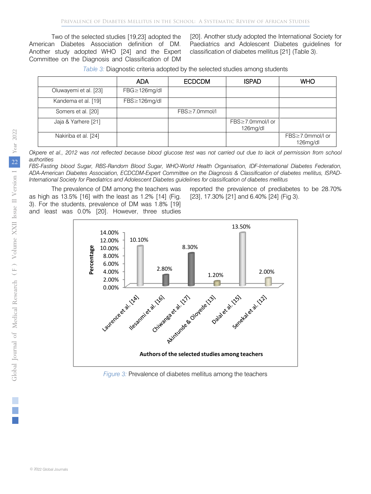Two of the selected studies [19,23] adopted the American Diabetes Association definition of DM. Another study adopted WHO [24] and the Expert Committee on the Diagnosis and Classification of DM

[20]. Another study adopted the International Society for Paediatrics and Adolescent Diabetes guidelines for classification of diabetes mellitus [21] (Table 3).

*Table 3:* Diagnostic criteria adopted by the selected studies among students

|                       | <b>ADA</b>           | <b>ECDCDM</b> | <b>ISPAD</b>                 | <b>WHO</b>                      |
|-----------------------|----------------------|---------------|------------------------------|---------------------------------|
| Oluwayemi et al. [23] | $FBG \geq 126$ mg/dl |               |                              |                                 |
| Kandema et al. [19]   | $FBS \geq 126$ mg/dl |               |                              |                                 |
| Somers et al. [20]    |                      | FBS≥7.0mmol/l |                              |                                 |
| Jaja & Yarhere [21]   |                      |               | FBS≥7.0mmol/l or<br>126mg/dl |                                 |
| Nakiriba et al. [24]  |                      |               |                              | FBS≥7.0mmol/l or<br>$126$ mg/dl |

*Okpere et al., 2012 was not reflected because blood glucose test was not carried out due to lack of permission from school authorities*

*FBS-Fasting blood Sugar, RBS-Random Blood Sugar, WHO-World Health Organisation, IDF-International Diabetes Federation, ADA-American Diabetes Association, ECDCDM-Expert Committee on the Diagnosis & Classification of diabetes mellitus, ISPAD-International Society for Paediatrics and Adolescent Diabetes guidelines for classification of diabetes mellitus*

The prevalence of DM among the teachers was as high as 13.5% [16] with the least as 1.2% [14] (Fig. 3). For the students, prevalence of DM was 1.8% [19] and least was 0.0% [20]. However, three studies

reported the prevalence of prediabetes to be 28.70% [23], 17.30% [21] and 6.40% [24] (Fig 3).



*Figure 3:* Prevalence of diabetes mellitus among the teachers

© 2022 Global Journals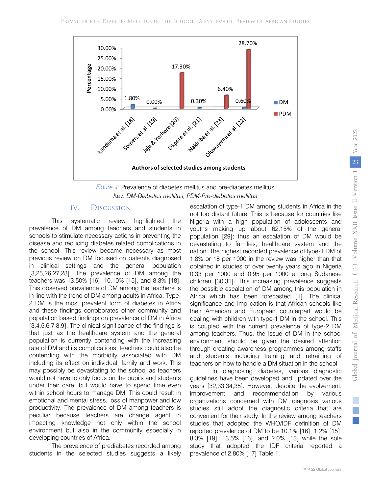



## IV. Discussion

 prevalence of DM among teachers and students in within school hours to manage DM. This could result in This systematic review highlighted the schools to stimulate necessary actions in preventing the disease and reducing diabetes related complications in the school. This review became necessary as most previous review on DM focused on patients diagnosed in clinical settings and the general population [3,25,26,27,28]. The prevalence of DM among the teachers was 13.50% [16], 10.10% [15], and 8.3% [18]. This observed prevalence of DM among the teachers is in line with the trend of DM among adults in Africa. Type-2 DM is the most prevalent form of diabetes in Africa and these findings corroborates other community and population based findings on prevalence of DM in Africa [3,4,5,6,7,8,9]. The clinical significance of the findings is that just as the healthcare system and the general population is currently contending with the increasing rate of DM and its complications; teachers could also be contending with the morbidity associated with DM including its effect on individual, family and work. This may possibly be devastating to the school as teachers would not have to only focus on the pupils and students under their care; but would have to spend time even emotional and mental stress, loss of manpower and low productivity. The prevalence of DM among teachers is peculiar because teachers are change agent in impacting knowledge not only within the school environment but also in the community especially in developing countries of Africa.

The prevalence of prediabetes recorded among students in the selected studies suggests a likely escalation of type-1 DM among students in Africa in the not too distant future. This is because for countries like Nigeria with a high population of adolescents and youths making up about 62.15% of the general population [29]; thus an escalation of DM would be devastating to families, healthcare system and the nation. The highest recorded prevalence of type-1 DM of 1.8% or 18 per 1000 in the review was higher than that obtained in studies of over twenty years ago in Nigeria 0.33 per 1000 and 0.95 per 1000 among Sudanese children [30,31]. This increasing prevalence suggests the possible escalation of DM among this population in Africa which has been forecasted [1]. The clinical significance and implication is that African schools like their American and European counterpart would be dealing with children with type-1 DM in the school. This is coupled with the current prevalence of type-2 DM among teachers. Thus, the issue of DM in the school environment should be given the desired attention through creating awareness programmes among staffs and students including training and retraining of teachers on how to handle a DM situation in the school.

In diagnosing diabetes, various diagnostic guidelines have been developed and updated over the years [32,33,34,35]. However, despite the evolvement, improvement and recommendation by various organizations concerned with DM diagnosis various studies still adopt the diagnostic criteria that are convenient for their study. In the review among teachers studies that adopted the WHO/IDF definition of DM reported prevalence of DM to be 10.1% [16], 1.2% [15], 8.3% [19], 13.5% [16], and 2.0% [13] while the sole study that adopted the IDF criteria reported a prevalence of 2.80% [17] Table 1.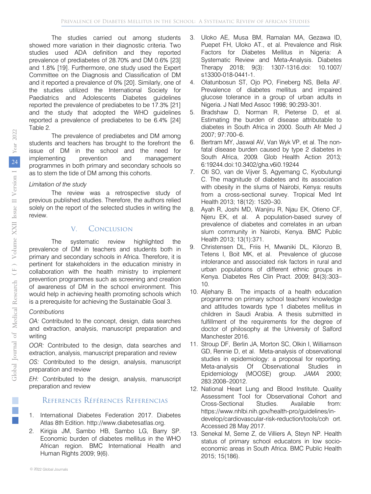The studies carried out among students showed more variation in their diagnostic criteria. Two studies used ADA definition and they reported prevalence of prediabetes of 28.70% and DM 0.6% [23] and 1.8% [19]. Furthermore, one study used the Expert Committee on the Diagnosis and Classification of DM and it reported a prevalence of 0% [20]. Similarly, one of the studies utilized the International Society for Paediatrics and Adolescents Diabetes guidelines reported the prevalence of prediabetes to be 17.3% [21] and the study that adopted the WHO guidelines reported a prevalence of prediabetes to be 6.4% [24] Table 2.

The prevalence of prediabetes and DM among students and teachers has brought to the forefront the issue of DM in the school and the need for implementing prevention and management programmes in both primary and secondary schools so as to stem the tide of DM among this cohorts.

#### *Limitation of the study*

The review was a retrospective study of previous published studies. Therefore, the authors relied solely on the report of the selected studies in writing the review.

## V. Conclusion

The systematic review highlighted the prevalence of DM in teachers and students both in primary and secondary schools in Africa. Therefore, it is pertinent for stakeholders in the education ministry in collaboration with the health ministry to implement prevention programmes such as screening and creation of awareness of DM in the school environment. This would help in achieving health promoting schools which is a prerequisite for achieving the Sustainable Goal 3.

#### *Contributions*

*OA:* Contributed to the concept, design, data searches and extraction, analysis, manuscript preparation and writing

*OOR:* Contributed to the design, data searches and extraction, analysis, manuscript preparation and review

OS: Contributed to the design, analysis, manuscript preparation and review

*EH:* Contributed to the design, analysis, manuscript preparation and review

## References Références Referencias

- 1. International Diabetes Federation 2017. Diabetes Atlas 8th Edition. http://www.diabetesatlas.org.
- 2. Kirigia JM, Sambo HB, Sambo LG, Barry SP. Economic burden of diabetes mellitus in the WHO African region. BMC International Health and Human Rights 2009; 9(6).
- 3. Uloko AE, Musa BM, Ramalan MA, Gezawa ID, Puepet FH, Uloko AT., et al. Prevalence and Risk Factors for Diabetes Mellitus in Nigeria: A Systematic Review and Meta-Analysis. Diabetes Therapy 2018; 9(3): 1307-1316.doi: 10.1007/ s13300-018-0441-1.
- 4. Olatunbosun ST, Ojo PO, Fineberg NS, Bella AF. Prevalence of diabetes mellitus and impaired glucose tolerance in a group of urban adults in Nigeria. J Natl Med Assoc 1998; 90:293-301.
- 5. Bradshaw D, Norman R, Pieterse D, et al. Estimating the burden of disease attributable to diabetes in South Africa in 2000. South Afr Med J 2007; 97:700–6.
- 6. Bertram MY, Jaswal AV, Van Wyk VP, et al. The nonfatal disease burden caused by type 2 diabetes in South Africa, 2009*.* Glob Health Action 2013*;* 6*:*19244*.*doi:10.3402/gha.v6i0.19244
- 7. Oti SO, van de Vijver S, Agyemang C, Kyobutungi C. The magnitude of diabetes and its association with obesity in the slums of Nairobi, Kenya: results from a cross-sectional survey. Tropical Med Int Health 2013; 18(12): 1520–30.
- 8. Ayah R, Joshi MD, Wanjiru R, Njau EK, Otieno CF, Njeru EK, et al. A population-based survey of prevalence of diabetes and correlates in an urban slum community in Nairobi, Kenya. BMC Public Health 2013; 13(1):371.
- 9. Christensen DL, Friis H, Mwaniki DL, Kilonzo B, Tetens I, Boit MK, et al. Prevalence of glucose intolerance and associated risk factors in rural and urban populations of different ethnic groups in Kenya. Diabetes Res Clin Pract. 2009; 84(3):303– 10.
- 10. Aljehany B. The impacts of a health education fulfillment of the requirements for the degree of Manchester 2016. programme on primary school teachers' knowledge and attitudes towards type 1 diabetes mellitus in children in Saudi Arabia. A thesis submitted in doctor of philosophy at the University of Salford
- GD, Rennie D, et al. Meta-analysis of observational Epidemiology (MOOSE) group. *JAMA* 2000; 11. Stroup DF, Berlin JA, Morton SC, Olkin I, Williamson studies in epidemiology: a proposal for reporting. Meta-analysis Of Observational Studies in 283:2008–20012.
- 12. National Heart Lung and Blood Institute. Quality [Assess](https://bmcinthealthhumrights.biomedcentral.com/articles/10.1186/1472-698X-9-6#auth-1)ment [Tool fo](https://bmcinthealthhumrights.biomedcentral.com/articles/10.1186/1472-698X-9-6#auth-2)r O[bservation](https://bmcinthealthhumrights.biomedcentral.com/articles/10.1186/1472-698X-9-6#auth-3)al [Cohort](https://bmcinthealthhumrights.biomedcentral.com/articles/10.1186/1472-698X-9-6#auth-4) and Cross-Sectional Studies. Available from: https://www.nhlbi[.nih.gov/health-pro/guidelines/in](https://bmcinthealthhumrights.biomedcentral.com/)[develop/cardio](https://bmcinthealthhumrights.biomedcentral.com/)vascular-risk-reduction/tools/coh ort. Accessed 28 May 2017.
- 13. Senekal M, Seme Z, de Villiers A, Steyn NP. Health status of primary school educators in low socioeconomic areas in South Africa. BMC Public Health 2015; 15(186).

 $\mathcal{L}_{\mathcal{A}}$